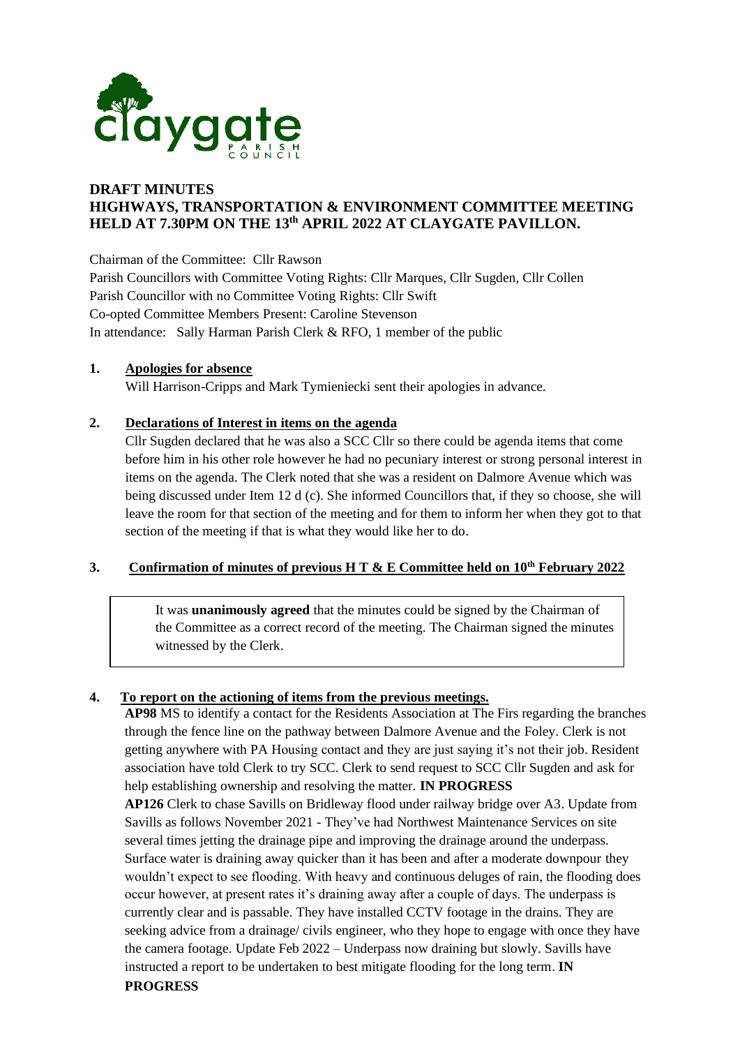

# **DRAFT MINUTES HIGHWAYS, TRANSPORTATION & ENVIRONMENT COMMITTEE MEETING HELD AT 7.30PM ON THE 13th APRIL 2022 AT CLAYGATE PAVILLON.**

Chairman of the Committee: Cllr Rawson

Parish Councillors with Committee Voting Rights: Cllr Marques, Cllr Sugden, Cllr Collen Parish Councillor with no Committee Voting Rights: Cllr Swift Co-opted Committee Members Present: Caroline Stevenson In attendance: Sally Harman Parish Clerk & RFO, 1 member of the public

## **1. Apologies for absence**

Will Harrison-Cripps and Mark Tymieniecki sent their apologies in advance.

## **2. Declarations of Interest in items on the agenda**

Cllr Sugden declared that he was also a SCC Cllr so there could be agenda items that come before him in his other role however he had no pecuniary interest or strong personal interest in items on the agenda. The Clerk noted that she was a resident on Dalmore Avenue which was being discussed under Item 12 d (c). She informed Councillors that, if they so choose, she will leave the room for that section of the meeting and for them to inform her when they got to that section of the meeting if that is what they would like her to do.

## **3.** Confirmation of minutes of previous H T & E Committee held on  $10^{th}$  February 2022

It was **unanimously agreed** that the minutes could be signed by the Chairman of the Committee as a correct record of the meeting. The Chairman signed the minutes witnessed by the Clerk.

# **4. To report on the actioning of items from the previous meetings.**

**AP98** MS to identify a contact for the Residents Association at The Firs regarding the branches through the fence line on the pathway between Dalmore Avenue and the Foley. Clerk is not getting anywhere with PA Housing contact and they are just saying it's not their job. Resident association have told Clerk to try SCC. Clerk to send request to SCC Cllr Sugden and ask for help establishing ownership and resolving the matter. **IN PROGRESS**

**AP126** Clerk to chase Savills on Bridleway flood under railway bridge over A3. Update from Savills as follows November 2021 - They've had Northwest Maintenance Services on site several times jetting the drainage pipe and improving the drainage around the underpass. Surface water is draining away quicker than it has been and after a moderate downpour they wouldn't expect to see flooding. With heavy and continuous deluges of rain, the flooding does occur however, at present rates it's draining away after a couple of days. The underpass is currently clear and is passable. They have installed CCTV footage in the drains. They are seeking advice from a drainage/ civils engineer, who they hope to engage with once they have the camera footage. Update Feb 2022 – Underpass now draining but slowly. Savills have instructed a report to be undertaken to best mitigate flooding for the long term. **IN PROGRESS**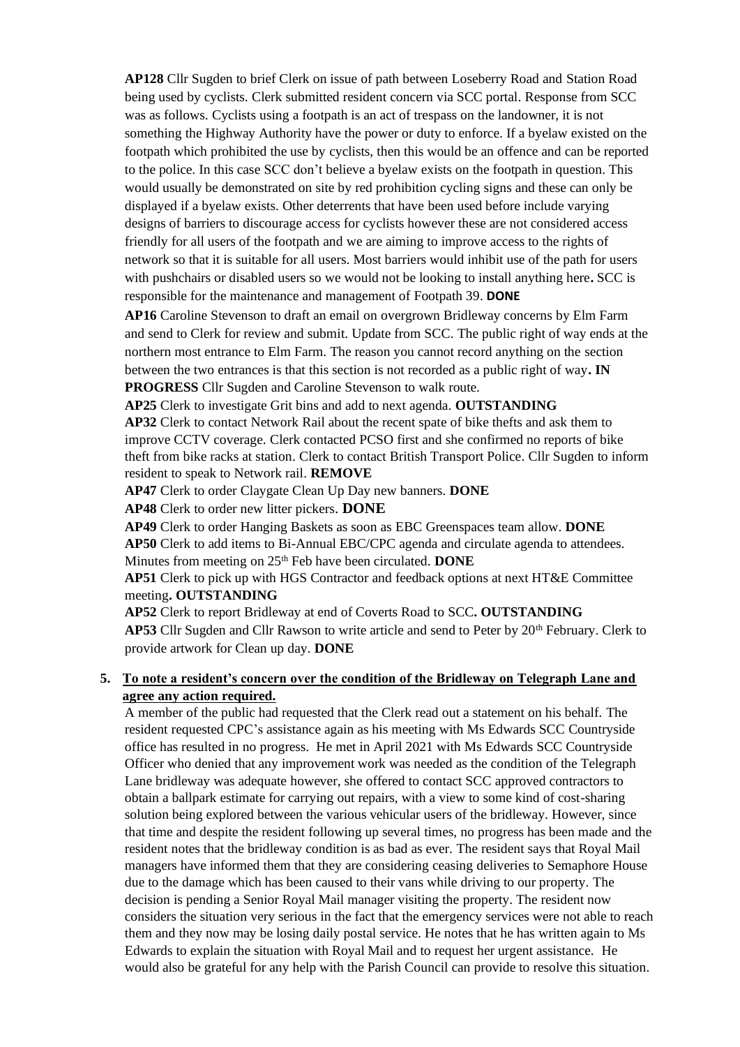**AP128** Cllr Sugden to brief Clerk on issue of path between Loseberry Road and Station Road being used by cyclists. Clerk submitted resident concern via SCC portal. Response from SCC was as follows. Cyclists using a footpath is an act of trespass on the landowner, it is not something the Highway Authority have the power or duty to enforce. If a byelaw existed on the footpath which prohibited the use by cyclists, then this would be an offence and can be reported to the police. In this case SCC don't believe a byelaw exists on the footpath in question. This would usually be demonstrated on site by red prohibition cycling signs and these can only be displayed if a byelaw exists. Other deterrents that have been used before include varying designs of barriers to discourage access for cyclists however these are not considered access friendly for all users of the footpath and we are aiming to improve access to the rights of network so that it is suitable for all users. Most barriers would inhibit use of the path for users with pushchairs or disabled users so we would not be looking to install anything here**.** SCC is responsible for the maintenance and management of Footpath 39. **DONE**

**AP16** Caroline Stevenson to draft an email on overgrown Bridleway concerns by Elm Farm and send to Clerk for review and submit. Update from SCC. The public right of way ends at the northern most entrance to Elm Farm. The reason you cannot record anything on the section between the two entrances is that this section is not recorded as a public right of way**. IN PROGRESS** Cllr Sugden and Caroline Stevenson to walk route.

**AP25** Clerk to investigate Grit bins and add to next agenda. **OUTSTANDING**

**AP32** Clerk to contact Network Rail about the recent spate of bike thefts and ask them to improve CCTV coverage. Clerk contacted PCSO first and she confirmed no reports of bike theft from bike racks at station. Clerk to contact British Transport Police. Cllr Sugden to inform resident to speak to Network rail. **REMOVE**

**AP47** Clerk to order Claygate Clean Up Day new banners. **DONE**

**AP48** Clerk to order new litter pickers. **DONE**

**AP49** Clerk to order Hanging Baskets as soon as EBC Greenspaces team allow. **DONE AP50** Clerk to add items to Bi-Annual EBC/CPC agenda and circulate agenda to attendees. Minutes from meeting on 25<sup>th</sup> Feb have been circulated. **DONE** 

**AP51** Clerk to pick up with HGS Contractor and feedback options at next HT&E Committee meeting**. OUTSTANDING**

**AP52** Clerk to report Bridleway at end of Coverts Road to SCC**. OUTSTANDING AP53** Cllr Sugden and Cllr Rawson to write article and send to Peter by 20<sup>th</sup> February. Clerk to provide artwork for Clean up day. **DONE**

**5. To note a resident's concern over the condition of the Bridleway on Telegraph Lane and agree any action required.** 

A member of the public had requested that the Clerk read out a statement on his behalf. The resident requested CPC's assistance again as his meeting with Ms Edwards SCC Countryside office has resulted in no progress. He met in April 2021 with Ms Edwards SCC Countryside Officer who denied that any improvement work was needed as the condition of the Telegraph Lane bridleway was adequate however, she offered to contact SCC approved contractors to obtain a ballpark estimate for carrying out repairs, with a view to some kind of cost-sharing solution being explored between the various vehicular users of the bridleway. However, since that time and despite the resident following up several times, no progress has been made and the resident notes that the bridleway condition is as bad as ever. The resident says that Royal Mail managers have informed them that they are considering ceasing deliveries to Semaphore House due to the damage which has been caused to their vans while driving to our property. The decision is pending a Senior Royal Mail manager visiting the property. The resident now considers the situation very serious in the fact that the emergency services were not able to reach them and they now may be losing daily postal service. He notes that he has written again to Ms Edwards to explain the situation with Royal Mail and to request her urgent assistance. He would also be grateful for any help with the Parish Council can provide to resolve this situation.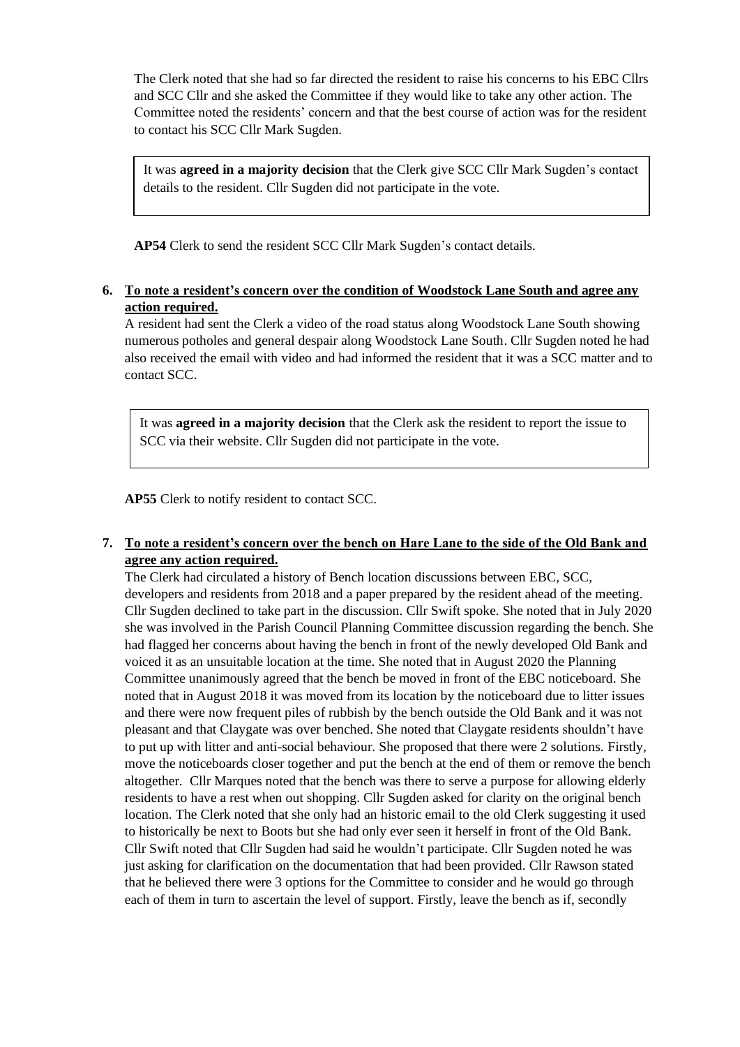The Clerk noted that she had so far directed the resident to raise his concerns to his EBC Cllrs and SCC Cllr and she asked the Committee if they would like to take any other action. The Committee noted the residents' concern and that the best course of action was for the resident to contact his SCC Cllr Mark Sugden.

It was **agreed in a majority decision** that the Clerk give SCC Cllr Mark Sugden's contact details to the resident. Cllr Sugden did not participate in the vote.

**AP54** Clerk to send the resident SCC Cllr Mark Sugden's contact details.

## **6. To note a resident's concern over the condition of Woodstock Lane South and agree any action required.**

A resident had sent the Clerk a video of the road status along Woodstock Lane South showing numerous potholes and general despair along Woodstock Lane South. Cllr Sugden noted he had also received the email with video and had informed the resident that it was a SCC matter and to contact SCC.

It was **agreed in a majority decision** that the Clerk ask the resident to report the issue to SCC via their website. Cllr Sugden did not participate in the vote.

**AP55** Clerk to notify resident to contact SCC.

## **7. To note a resident's concern over the bench on Hare Lane to the side of the Old Bank and agree any action required.**

The Clerk had circulated a history of Bench location discussions between EBC, SCC, developers and residents from 2018 and a paper prepared by the resident ahead of the meeting. Cllr Sugden declined to take part in the discussion. Cllr Swift spoke. She noted that in July 2020 she was involved in the Parish Council Planning Committee discussion regarding the bench. She had flagged her concerns about having the bench in front of the newly developed Old Bank and voiced it as an unsuitable location at the time. She noted that in August 2020 the Planning Committee unanimously agreed that the bench be moved in front of the EBC noticeboard. She noted that in August 2018 it was moved from its location by the noticeboard due to litter issues and there were now frequent piles of rubbish by the bench outside the Old Bank and it was not pleasant and that Claygate was over benched. She noted that Claygate residents shouldn't have to put up with litter and anti-social behaviour. She proposed that there were 2 solutions. Firstly, move the noticeboards closer together and put the bench at the end of them or remove the bench altogether. Cllr Marques noted that the bench was there to serve a purpose for allowing elderly residents to have a rest when out shopping. Cllr Sugden asked for clarity on the original bench location. The Clerk noted that she only had an historic email to the old Clerk suggesting it used to historically be next to Boots but she had only ever seen it herself in front of the Old Bank. Cllr Swift noted that Cllr Sugden had said he wouldn't participate. Cllr Sugden noted he was just asking for clarification on the documentation that had been provided. Cllr Rawson stated that he believed there were 3 options for the Committee to consider and he would go through each of them in turn to ascertain the level of support. Firstly, leave the bench as if, secondly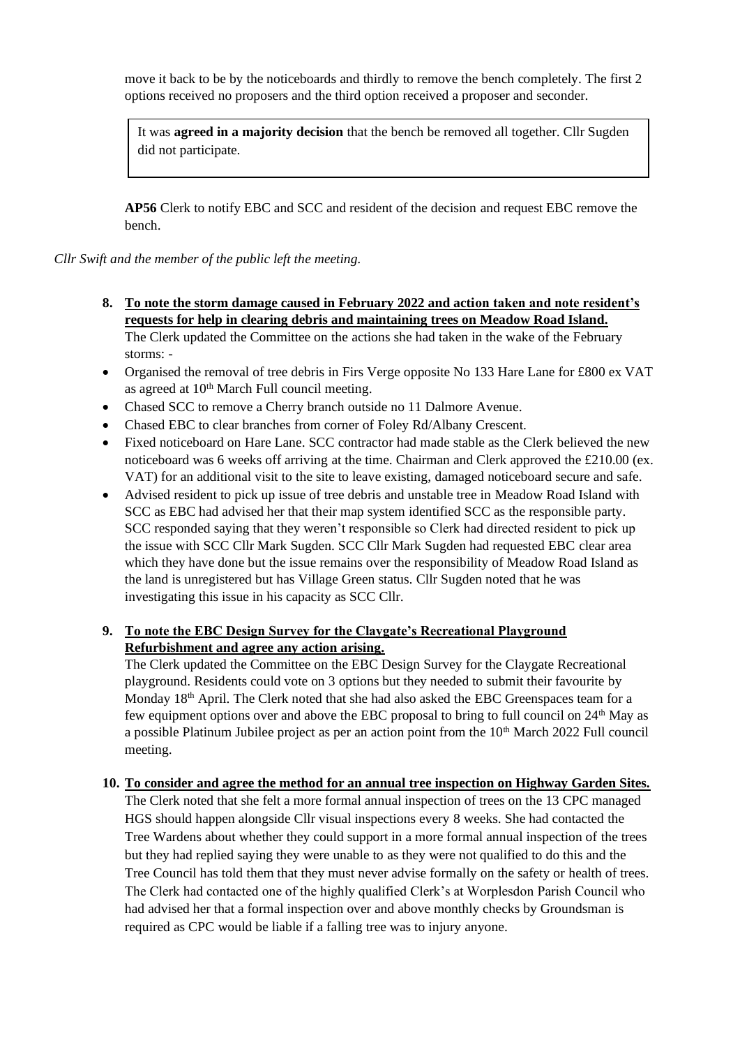move it back to be by the noticeboards and thirdly to remove the bench completely. The first 2 options received no proposers and the third option received a proposer and seconder.

It was **agreed in a majority decision** that the bench be removed all together. Cllr Sugden did not participate.

**AP56** Clerk to notify EBC and SCC and resident of the decision and request EBC remove the bench.

*Cllr Swift and the member of the public left the meeting.*

- **8. To note the storm damage caused in February 2022 and action taken and note resident's requests for help in clearing debris and maintaining trees on Meadow Road Island.** The Clerk updated the Committee on the actions she had taken in the wake of the February storms: -
- Organised the removal of tree debris in Firs Verge opposite No 133 Hare Lane for £800 ex VAT as agreed at 10<sup>th</sup> March Full council meeting.
- Chased SCC to remove a Cherry branch outside no 11 Dalmore Avenue.
- Chased EBC to clear branches from corner of Foley Rd/Albany Crescent.
- Fixed noticeboard on Hare Lane. SCC contractor had made stable as the Clerk believed the new noticeboard was 6 weeks off arriving at the time. Chairman and Clerk approved the £210.00 (ex. VAT) for an additional visit to the site to leave existing, damaged noticeboard secure and safe.
- Advised resident to pick up issue of tree debris and unstable tree in Meadow Road Island with SCC as EBC had advised her that their map system identified SCC as the responsible party. SCC responded saying that they weren't responsible so Clerk had directed resident to pick up the issue with SCC Cllr Mark Sugden. SCC Cllr Mark Sugden had requested EBC clear area which they have done but the issue remains over the responsibility of Meadow Road Island as the land is unregistered but has Village Green status. Cllr Sugden noted that he was investigating this issue in his capacity as SCC Cllr.

## **9. To note the EBC Design Survey for the Claygate's Recreational Playground Refurbishment and agree any action arising.**

The Clerk updated the Committee on the EBC Design Survey for the Claygate Recreational playground. Residents could vote on 3 options but they needed to submit their favourite by Monday 18<sup>th</sup> April. The Clerk noted that she had also asked the EBC Greenspaces team for a few equipment options over and above the EBC proposal to bring to full council on  $24<sup>th</sup>$  May as a possible Platinum Jubilee project as per an action point from the  $10<sup>th</sup>$  March 2022 Full council meeting.

## **10. To consider and agree the method for an annual tree inspection on Highway Garden Sites.**

The Clerk noted that she felt a more formal annual inspection of trees on the 13 CPC managed HGS should happen alongside Cllr visual inspections every 8 weeks. She had contacted the Tree Wardens about whether they could support in a more formal annual inspection of the trees but they had replied saying they were unable to as they were not qualified to do this and the Tree Council has told them that they must never advise formally on the safety or health of trees. The Clerk had contacted one of the highly qualified Clerk's at Worplesdon Parish Council who had advised her that a formal inspection over and above monthly checks by Groundsman is required as CPC would be liable if a falling tree was to injury anyone.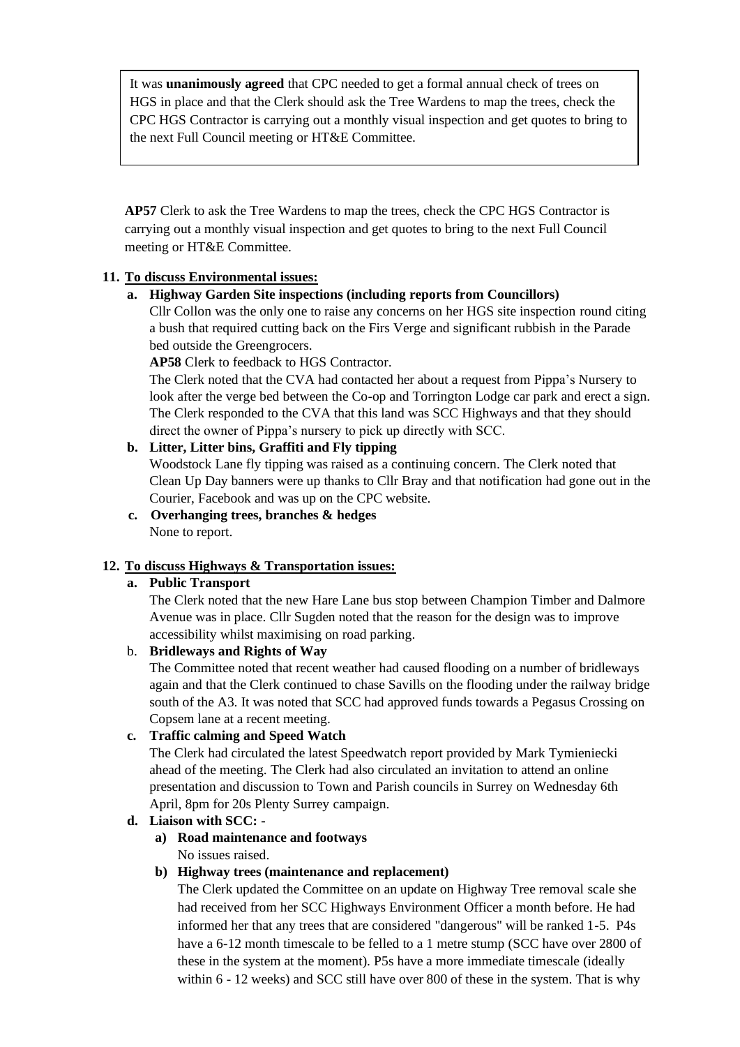It was **unanimously agreed** that CPC needed to get a formal annual check of trees on HGS in place and that the Clerk should ask the Tree Wardens to map the trees, check the CPC HGS Contractor is carrying out a monthly visual inspection and get quotes to bring to the next Full Council meeting or HT&E Committee.

**AP57** Clerk to ask the Tree Wardens to map the trees, check the CPC HGS Contractor is carrying out a monthly visual inspection and get quotes to bring to the next Full Council meeting or HT&E Committee.

## **11. To discuss Environmental issues:**

## **a. Highway Garden Site inspections (including reports from Councillors)**

Cllr Collon was the only one to raise any concerns on her HGS site inspection round citing a bush that required cutting back on the Firs Verge and significant rubbish in the Parade bed outside the Greengrocers.

**AP58** Clerk to feedback to HGS Contractor.

The Clerk noted that the CVA had contacted her about a request from Pippa's Nursery to look after the verge bed between the Co-op and Torrington Lodge car park and erect a sign. The Clerk responded to the CVA that this land was SCC Highways and that they should direct the owner of Pippa's nursery to pick up directly with SCC.

#### **b. Litter, Litter bins, Graffiti and Fly tipping**

Woodstock Lane fly tipping was raised as a continuing concern. The Clerk noted that Clean Up Day banners were up thanks to Cllr Bray and that notification had gone out in the Courier, Facebook and was up on the CPC website.

**c. Overhanging trees, branches & hedges**  None to report.

#### **12. To discuss Highways & Transportation issues:**

#### **a. Public Transport**

The Clerk noted that the new Hare Lane bus stop between Champion Timber and Dalmore Avenue was in place. Cllr Sugden noted that the reason for the design was to improve accessibility whilst maximising on road parking.

## b. **Bridleways and Rights of Way**

The Committee noted that recent weather had caused flooding on a number of bridleways again and that the Clerk continued to chase Savills on the flooding under the railway bridge south of the A3. It was noted that SCC had approved funds towards a Pegasus Crossing on Copsem lane at a recent meeting.

#### **c. Traffic calming and Speed Watch**

The Clerk had circulated the latest Speedwatch report provided by Mark Tymieniecki ahead of the meeting. The Clerk had also circulated an invitation to attend an online presentation and discussion to Town and Parish councils in Surrey on Wednesday 6th April, 8pm for 20s Plenty Surrey campaign.

#### **d. Liaison with SCC: -**

**a) Road maintenance and footways** No issues raised.

#### **b) Highway trees (maintenance and replacement)**

The Clerk updated the Committee on an update on Highway Tree removal scale she had received from her SCC Highways Environment Officer a month before. He had informed her that any trees that are considered "dangerous" will be ranked 1-5. P4s have a 6-12 month timescale to be felled to a 1 metre stump (SCC have over 2800 of these in the system at the moment). P5s have a more immediate timescale (ideally within 6 - 12 weeks) and SCC still have over 800 of these in the system. That is why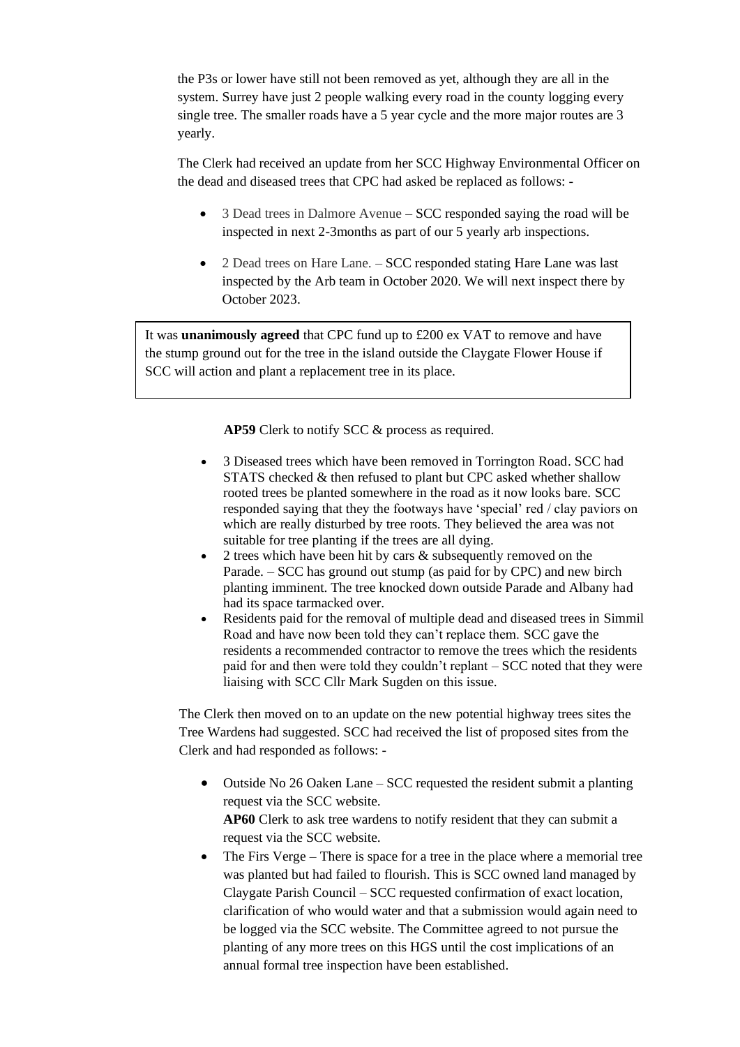the P3s or lower have still not been removed as yet, although they are all in the system. Surrey have just 2 people walking every road in the county logging every single tree. The smaller roads have a 5 year cycle and the more major routes are 3 yearly.

The Clerk had received an update from her SCC Highway Environmental Officer on the dead and diseased trees that CPC had asked be replaced as follows: -

- 3 Dead trees in Dalmore Avenue SCC responded saying the road will be inspected in next 2-3months as part of our 5 yearly arb inspections.
- 2 Dead trees on Hare Lane. SCC responded stating Hare Lane was last inspected by the Arb team in October 2020. We will next inspect there by October 2023.

It was **unanimously agreed** that CPC fund up to £200 ex VAT to remove and have the stump ground out for the tree in the island outside the Claygate Flower House if SCC will action and plant a replacement tree in its place.

**AP59** Clerk to notify SCC & process as required.

- 3 Diseased trees which have been removed in Torrington Road. SCC had STATS checked & then refused to plant but CPC asked whether shallow rooted trees be planted somewhere in the road as it now looks bare. SCC responded saying that they the footways have 'special' red / clay paviors on which are really disturbed by tree roots. They believed the area was not suitable for tree planting if the trees are all dying.
- 2 trees which have been hit by cars & subsequently removed on the Parade. – SCC has ground out stump (as paid for by CPC) and new birch planting imminent. The tree knocked down outside Parade and Albany had had its space tarmacked over.
- Residents paid for the removal of multiple dead and diseased trees in Simmil Road and have now been told they can't replace them. SCC gave the residents a recommended contractor to remove the trees which the residents paid for and then were told they couldn't replant – SCC noted that they were liaising with SCC Cllr Mark Sugden on this issue.

The Clerk then moved on to an update on the new potential highway trees sites the Tree Wardens had suggested. SCC had received the list of proposed sites from the Clerk and had responded as follows: -

- Outside No 26 Oaken Lane SCC requested the resident submit a planting request via the SCC website. **AP60** Clerk to ask tree wardens to notify resident that they can submit a request via the SCC website.
- The Firs Verge There is space for a tree in the place where a memorial tree was planted but had failed to flourish. This is SCC owned land managed by Claygate Parish Council – SCC requested confirmation of exact location, clarification of who would water and that a submission would again need to be logged via the SCC website. The Committee agreed to not pursue the planting of any more trees on this HGS until the cost implications of an annual formal tree inspection have been established.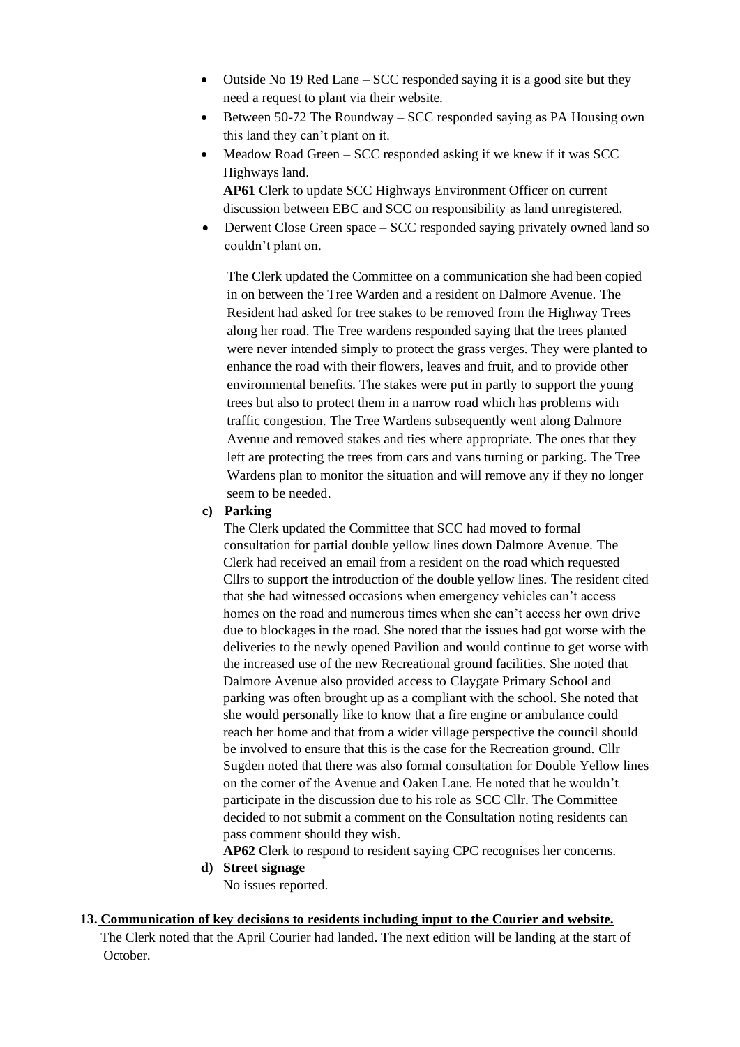- Outside No 19 Red Lane SCC responded saying it is a good site but they need a request to plant via their website.
- Between 50-72 The Roundway SCC responded saying as PA Housing own this land they can't plant on it.
- Meadow Road Green SCC responded asking if we knew if it was SCC Highways land.

**AP61** Clerk to update SCC Highways Environment Officer on current discussion between EBC and SCC on responsibility as land unregistered.

• Derwent Close Green space – SCC responded saying privately owned land so couldn't plant on.

The Clerk updated the Committee on a communication she had been copied in on between the Tree Warden and a resident on Dalmore Avenue. The Resident had asked for tree stakes to be removed from the Highway Trees along her road. The Tree wardens responded saying that the trees planted were never intended simply to protect the grass verges. They were planted to enhance the road with their flowers, leaves and fruit, and to provide other environmental benefits. The stakes were put in partly to support the young trees but also to protect them in a narrow road which has problems with traffic congestion. The Tree Wardens subsequently went along Dalmore Avenue and removed stakes and ties where appropriate. The ones that they left are protecting the trees from cars and vans turning or parking. The Tree Wardens plan to monitor the situation and will remove any if they no longer seem to be needed.

## **c) Parking**

The Clerk updated the Committee that SCC had moved to formal consultation for partial double yellow lines down Dalmore Avenue. The Clerk had received an email from a resident on the road which requested Cllrs to support the introduction of the double yellow lines. The resident cited that she had witnessed occasions when emergency vehicles can't access homes on the road and numerous times when she can't access her own drive due to blockages in the road. She noted that the issues had got worse with the deliveries to the newly opened Pavilion and would continue to get worse with the increased use of the new Recreational ground facilities. She noted that Dalmore Avenue also provided access to Claygate Primary School and parking was often brought up as a compliant with the school. She noted that she would personally like to know that a fire engine or ambulance could reach her home and that from a wider village perspective the council should be involved to ensure that this is the case for the Recreation ground. Cllr Sugden noted that there was also formal consultation for Double Yellow lines on the corner of the Avenue and Oaken Lane. He noted that he wouldn't participate in the discussion due to his role as SCC Cllr. The Committee decided to not submit a comment on the Consultation noting residents can pass comment should they wish.

**AP62** Clerk to respond to resident saying CPC recognises her concerns.

#### **d) Street signage** No issues reported.

## **13. Communication of key decisions to residents including input to the Courier and website.** The Clerk noted that the April Courier had landed. The next edition will be landing at the start of

October.